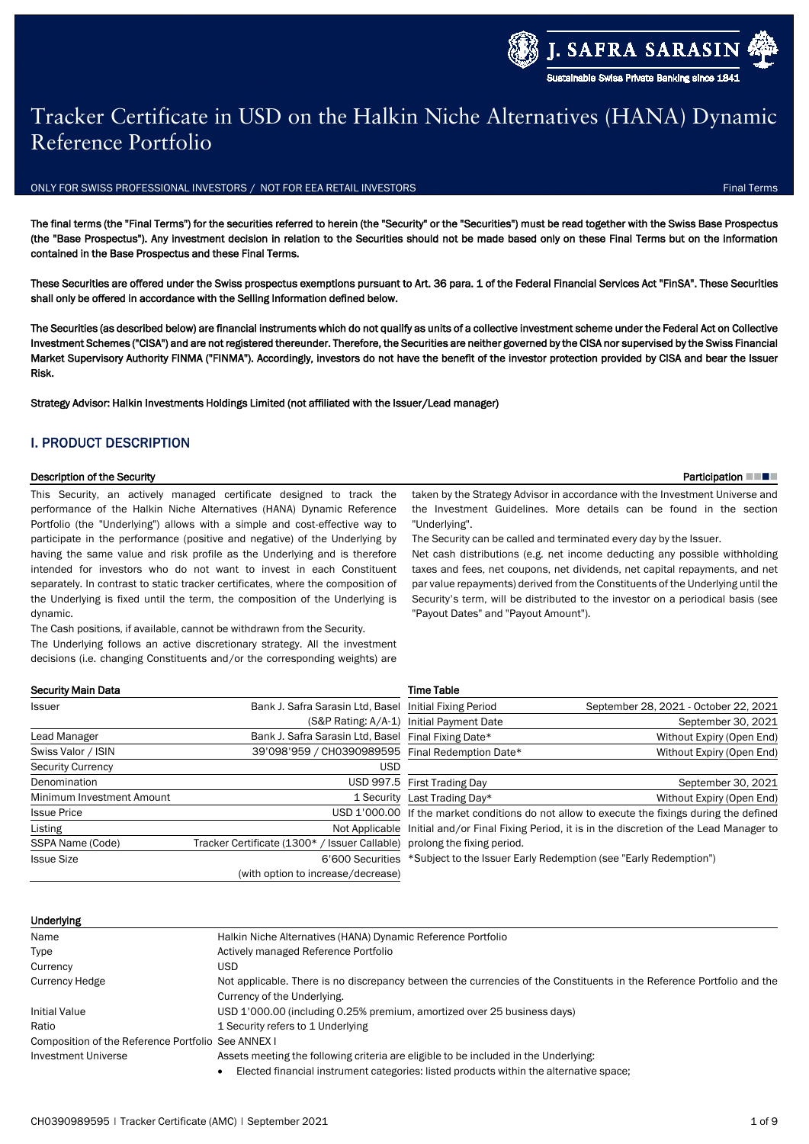# Tracker Certificate in USD on the Halkin Niche Alternatives (HANA) Dynamic Reference Portfolio

ONLY FOR SWISS PROFESSIONAL INVESTORS / NOT FOR EEA RETAIL INVESTORS FINAL TERMS FINAL TERMS FINAL TERMS FINAL

The final terms (the "Final Terms") for the securities referred to herein (the "Security" or the "Securities") must be read together with the Swiss Base Prospectus (the "Base Prospectus"). Any investment decision in relation to the Securities should not be made based only on these Final Terms but on the information contained in the Base Prospectus and these Final Terms.

These Securities are offered under the Swiss prospectus exemptions pursuant to Art. 36 para. 1 of the Federal Financial Services Act "FinSA". These Securities shall only be offered in accordance with the Selling Information defined below.

The Securities (as described below) are financial instruments which do not qualify as units of a collective investment scheme under the Federal Act on Collective Investment Schemes ("CISA") and are not registered thereunder. Therefore, the Securities are neither governed by the CISA nor supervised by the Swiss Financial Market Supervisory Authority FINMA ("FINMA"). Accordingly, investors do not have the benefit of the investor protection provided by CISA and bear the Issuer Risk.

Strategy Advisor: Halkin Investments Holdings Limited (not affiliated with the Issuer/Lead manager)

## I. PRODUCT DESCRIPTION

### Description of the Security **Participation III Participation III Participation III Participation III Participation III**

This Security, an actively managed certificate designed to track the performance of the Halkin Niche Alternatives (HANA) Dynamic Reference Portfolio (the "Underlying") allows with a simple and cost-effective way to participate in the performance (positive and negative) of the Underlying by having the same value and risk profile as the Underlying and is therefore intended for investors who do not want to invest in each Constituent separately. In contrast to static tracker certificates, where the composition of the Underlying is fixed until the term, the composition of the Underlying is dynamic.

The Cash positions, if available, cannot be withdrawn from the Security. The Underlying follows an active discretionary strategy. All the investment decisions (i.e. changing Constituents and/or the corresponding weights) are

taken by the Strategy Advisor in accordance with the Investment Universe and the Investment Guidelines. More details can be found in the section "Underlying".

The Security can be called and terminated every day by the Issuer.

Net cash distributions (e.g. net income deducting any possible withholding taxes and fees, net coupons, net dividends, net capital repayments, and net par value repayments) derived from the Constituents of the Underlying until the Security's term, will be distributed to the investor on a periodical basis (see "Payout Dates" and "Payout Amount").

| Issuer                    | Bank J. Safra Sarasin Ltd, Basel Initial Fixing Period                   |                                          | September 28, 2021 - October 22, 2021                                                             |
|---------------------------|--------------------------------------------------------------------------|------------------------------------------|---------------------------------------------------------------------------------------------------|
|                           |                                                                          | (S&P Rating: A/A-1) Initial Payment Date | September 30, 2021                                                                                |
| Lead Manager              | Bank J. Safra Sarasin Ltd. Basel Final Fixing Date*                      |                                          | Without Expiry (Open End)                                                                         |
| Swiss Valor / ISIN        | 39'098'959 / CH0390989595 Final Redemption Date*                         |                                          | Without Expiry (Open End)                                                                         |
| <b>Security Currency</b>  | USD                                                                      |                                          |                                                                                                   |
| Denomination              |                                                                          | USD 997.5 First Trading Day              | September 30, 2021                                                                                |
| Minimum Investment Amount |                                                                          | 1 Security Last Trading Day*             | Without Expiry (Open End)                                                                         |
| <b>Issue Price</b>        |                                                                          |                                          | USD 1'000.00 If the market conditions do not allow to execute the fixings during the defined      |
| Listing                   |                                                                          |                                          | Not Applicable Initial and/or Final Fixing Period, it is in the discretion of the Lead Manager to |
| SSPA Name (Code)          | Tracker Certificate (1300* / Issuer Callable) prolong the fixing period. |                                          |                                                                                                   |
| <b>Issue Size</b>         |                                                                          |                                          | 6'600 Securities *Subject to the Issuer Early Redemption (see "Early Redemption")                 |
|                           | (with option to increase/decrease)                                       |                                          |                                                                                                   |
|                           |                                                                          |                                          |                                                                                                   |

Time Table

| Underlying |  |
|------------|--|
|            |  |

Security Main Data

| Name                                               | Halkin Niche Alternatives (HANA) Dynamic Reference Portfolio                                                          |
|----------------------------------------------------|-----------------------------------------------------------------------------------------------------------------------|
| Type                                               | Actively managed Reference Portfolio                                                                                  |
| Currency                                           | USD                                                                                                                   |
| <b>Currency Hedge</b>                              | Not applicable. There is no discrepancy between the currencies of the Constituents in the Reference Portfolio and the |
|                                                    | Currency of the Underlying.                                                                                           |
| <b>Initial Value</b>                               | USD 1'000.00 (including 0.25% premium, amortized over 25 business days)                                               |
| Ratio                                              | 1 Security refers to 1 Underlying                                                                                     |
| Composition of the Reference Portfolio See ANNEX I |                                                                                                                       |
| <b>Investment Universe</b>                         | Assets meeting the following criteria are eligible to be included in the Underlying:                                  |
|                                                    | Elected financial instrument categories: listed products within the alternative space;                                |

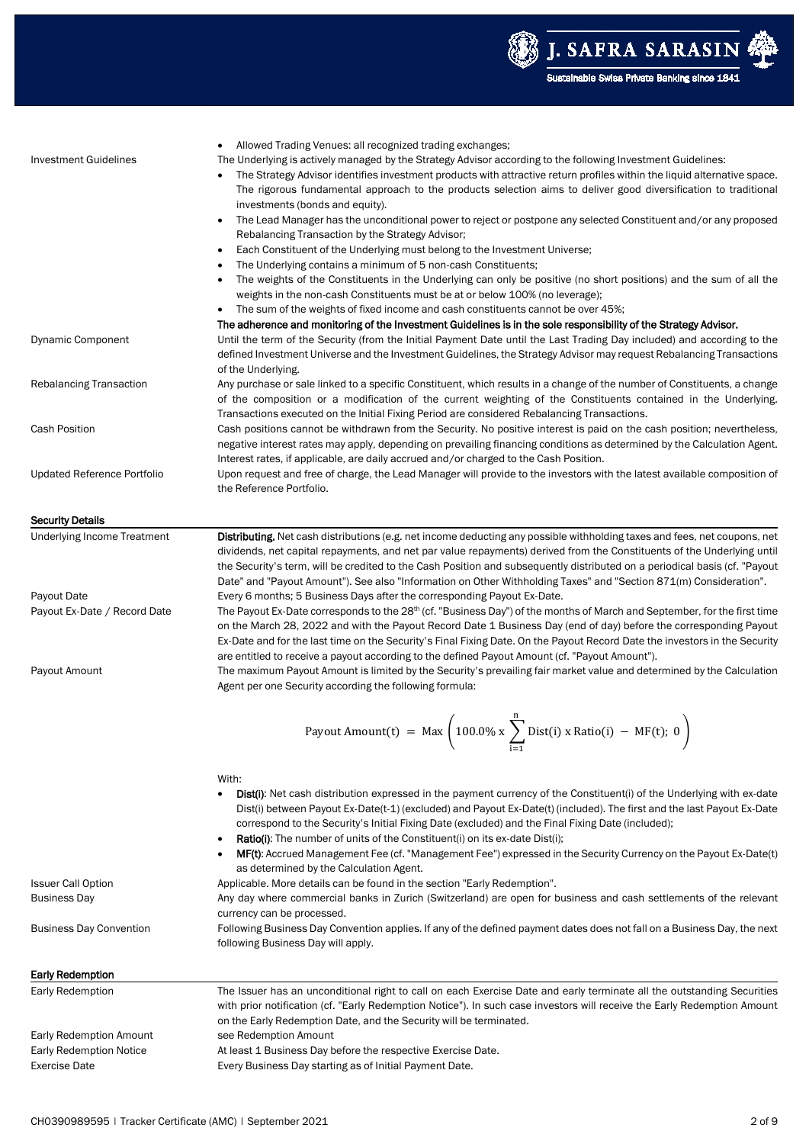

| <b>Investment Guidelines</b>                    | Allowed Trading Venues: all recognized trading exchanges;<br>The Underlying is actively managed by the Strategy Advisor according to the following Investment Guidelines:<br>The Strategy Advisor identifies investment products with attractive return profiles within the liquid alternative space.<br>The rigorous fundamental approach to the products selection aims to deliver good diversification to traditional                                                |
|-------------------------------------------------|-------------------------------------------------------------------------------------------------------------------------------------------------------------------------------------------------------------------------------------------------------------------------------------------------------------------------------------------------------------------------------------------------------------------------------------------------------------------------|
|                                                 | investments (bonds and equity).<br>The Lead Manager has the unconditional power to reject or postpone any selected Constituent and/or any proposed<br>$\bullet$                                                                                                                                                                                                                                                                                                         |
|                                                 | Rebalancing Transaction by the Strategy Advisor;<br>Each Constituent of the Underlying must belong to the Investment Universe;<br>$\bullet$                                                                                                                                                                                                                                                                                                                             |
|                                                 | The Underlying contains a minimum of 5 non-cash Constituents;                                                                                                                                                                                                                                                                                                                                                                                                           |
|                                                 | The weights of the Constituents in the Underlying can only be positive (no short positions) and the sum of all the<br>٠<br>weights in the non-cash Constituents must be at or below 100% (no leverage);                                                                                                                                                                                                                                                                 |
|                                                 | • The sum of the weights of fixed income and cash constituents cannot be over 45%;                                                                                                                                                                                                                                                                                                                                                                                      |
|                                                 | The adherence and monitoring of the Investment Guidelines is in the sole responsibility of the Strategy Advisor.                                                                                                                                                                                                                                                                                                                                                        |
| <b>Dynamic Component</b>                        | Until the term of the Security (from the Initial Payment Date until the Last Trading Day included) and according to the<br>defined Investment Universe and the Investment Guidelines, the Strategy Advisor may request Rebalancing Transactions<br>of the Underlying.                                                                                                                                                                                                   |
| <b>Rebalancing Transaction</b>                  | Any purchase or sale linked to a specific Constituent, which results in a change of the number of Constituents, a change                                                                                                                                                                                                                                                                                                                                                |
|                                                 | of the composition or a modification of the current weighting of the Constituents contained in the Underlying.<br>Transactions executed on the Initial Fixing Period are considered Rebalancing Transactions.                                                                                                                                                                                                                                                           |
| <b>Cash Position</b>                            | Cash positions cannot be withdrawn from the Security. No positive interest is paid on the cash position; nevertheless,<br>negative interest rates may apply, depending on prevailing financing conditions as determined by the Calculation Agent.                                                                                                                                                                                                                       |
|                                                 | Interest rates, if applicable, are daily accrued and/or charged to the Cash Position.                                                                                                                                                                                                                                                                                                                                                                                   |
| Updated Reference Portfolio                     | Upon request and free of charge, the Lead Manager will provide to the investors with the latest available composition of<br>the Reference Portfolio.                                                                                                                                                                                                                                                                                                                    |
| <b>Security Details</b>                         |                                                                                                                                                                                                                                                                                                                                                                                                                                                                         |
| <b>Underlying Income Treatment</b>              | Distributing. Net cash distributions (e.g. net income deducting any possible withholding taxes and fees, net coupons, net                                                                                                                                                                                                                                                                                                                                               |
|                                                 | dividends, net capital repayments, and net par value repayments) derived from the Constituents of the Underlying until<br>the Security's term, will be credited to the Cash Position and subsequently distributed on a periodical basis (cf. "Payout                                                                                                                                                                                                                    |
| Payout Date                                     | Date" and "Payout Amount"). See also "Information on Other Withholding Taxes" and "Section 871(m) Consideration".<br>Every 6 months; 5 Business Days after the corresponding Payout Ex-Date.                                                                                                                                                                                                                                                                            |
| Payout Ex-Date / Record Date                    | The Payout Ex-Date corresponds to the 28 <sup>th</sup> (cf. "Business Day") of the months of March and September, for the first time                                                                                                                                                                                                                                                                                                                                    |
|                                                 | on the March 28, 2022 and with the Payout Record Date 1 Business Day (end of day) before the corresponding Payout<br>Ex-Date and for the last time on the Security's Final Fixing Date. On the Payout Record Date the investors in the Security                                                                                                                                                                                                                         |
| Payout Amount                                   | are entitled to receive a payout according to the defined Payout Amount (cf. "Payout Amount").<br>The maximum Payout Amount is limited by the Security's prevailing fair market value and determined by the Calculation<br>Agent per one Security according the following formula:                                                                                                                                                                                      |
|                                                 |                                                                                                                                                                                                                                                                                                                                                                                                                                                                         |
|                                                 | Payout Amount(t) = Max $\left(100.0\% \times \sum_{i=1}^{n} Dist(i) \times Ratio(i) - MF(t); 0\right)$<br>$\sum_{i=1}$                                                                                                                                                                                                                                                                                                                                                  |
|                                                 |                                                                                                                                                                                                                                                                                                                                                                                                                                                                         |
|                                                 | With:<br><b>Dist(i):</b> Net cash distribution expressed in the payment currency of the Constituent(i) of the Underlying with ex-date<br>Dist(i) between Payout Ex-Date(t-1) (excluded) and Payout Ex-Date(t) (included). The first and the last Payout Ex-Date<br>correspond to the Security's Initial Fixing Date (excluded) and the Final Fixing Date (included);<br><b>Ratio(i):</b> The number of units of the Constituent(i) on its ex-date Dist(i);<br>$\bullet$ |
|                                                 | MF(t): Accrued Management Fee (cf. "Management Fee") expressed in the Security Currency on the Payout Ex-Date(t)<br>as determined by the Calculation Agent.                                                                                                                                                                                                                                                                                                             |
| <b>Issuer Call Option</b>                       | Applicable. More details can be found in the section "Early Redemption".                                                                                                                                                                                                                                                                                                                                                                                                |
| <b>Business Day</b>                             | Any day where commercial banks in Zurich (Switzerland) are open for business and cash settlements of the relevant                                                                                                                                                                                                                                                                                                                                                       |
| Business Day Convention                         | currency can be processed.<br>Following Business Day Convention applies. If any of the defined payment dates does not fall on a Business Day, the next<br>following Business Day will apply.                                                                                                                                                                                                                                                                            |
|                                                 |                                                                                                                                                                                                                                                                                                                                                                                                                                                                         |
| <b>Early Redemption</b><br>Early Redemption     | The Issuer has an unconditional right to call on each Exercise Date and early terminate all the outstanding Securities                                                                                                                                                                                                                                                                                                                                                  |
|                                                 | with prior notification (cf. "Early Redemption Notice"). In such case investors will receive the Early Redemption Amount<br>on the Early Redemption Date, and the Security will be terminated.                                                                                                                                                                                                                                                                          |
| <b>Early Redemption Amount</b>                  | see Redemption Amount                                                                                                                                                                                                                                                                                                                                                                                                                                                   |
| Early Redemption Notice<br><b>Exercise Date</b> | At least 1 Business Day before the respective Exercise Date.<br>Every Business Day starting as of Initial Payment Date.                                                                                                                                                                                                                                                                                                                                                 |
|                                                 |                                                                                                                                                                                                                                                                                                                                                                                                                                                                         |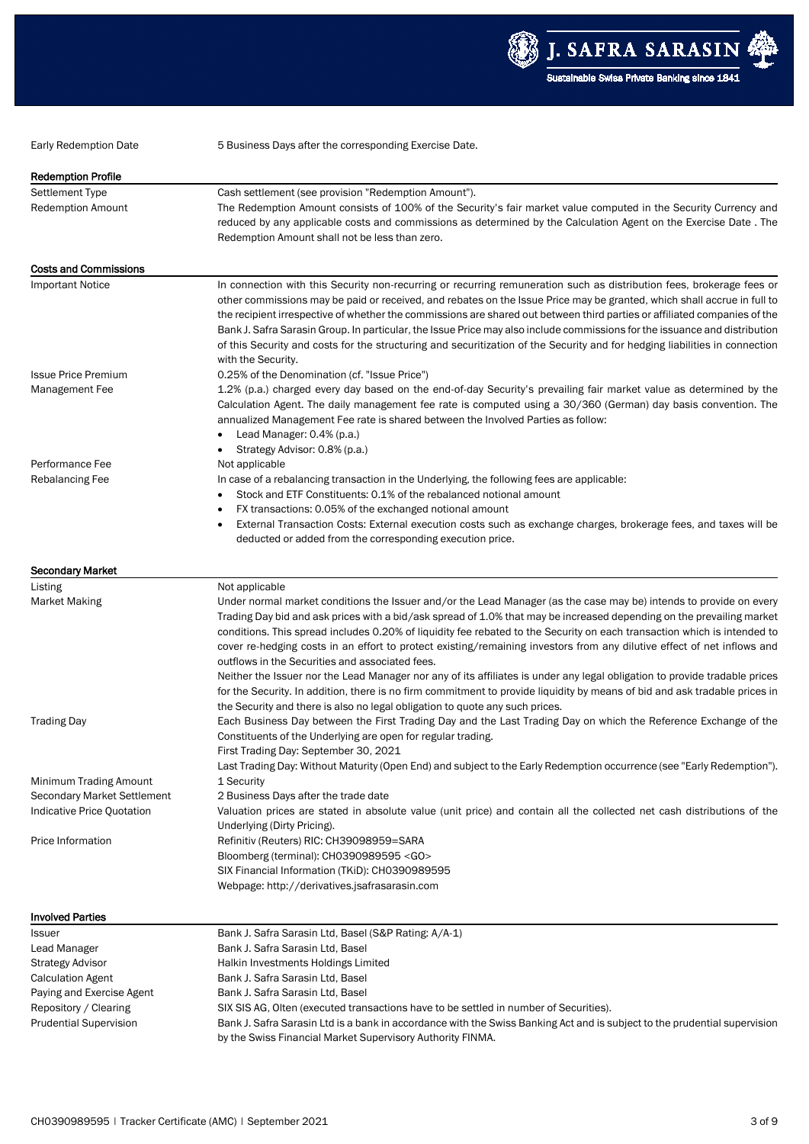

Early Redemption Date 5 Business Days after the corresponding Exercise Date.

| <b>Redemption Profile</b>                                 |                                                                                                                                                                                                                                                                                                                                                                                                                                                                                                                                                                                                                                                                                                                                                                                                                                                                                                   |
|-----------------------------------------------------------|---------------------------------------------------------------------------------------------------------------------------------------------------------------------------------------------------------------------------------------------------------------------------------------------------------------------------------------------------------------------------------------------------------------------------------------------------------------------------------------------------------------------------------------------------------------------------------------------------------------------------------------------------------------------------------------------------------------------------------------------------------------------------------------------------------------------------------------------------------------------------------------------------|
| Settlement Type                                           | Cash settlement (see provision "Redemption Amount").                                                                                                                                                                                                                                                                                                                                                                                                                                                                                                                                                                                                                                                                                                                                                                                                                                              |
| Redemption Amount                                         | The Redemption Amount consists of 100% of the Security's fair market value computed in the Security Currency and                                                                                                                                                                                                                                                                                                                                                                                                                                                                                                                                                                                                                                                                                                                                                                                  |
|                                                           | reduced by any applicable costs and commissions as determined by the Calculation Agent on the Exercise Date. The                                                                                                                                                                                                                                                                                                                                                                                                                                                                                                                                                                                                                                                                                                                                                                                  |
|                                                           | Redemption Amount shall not be less than zero.                                                                                                                                                                                                                                                                                                                                                                                                                                                                                                                                                                                                                                                                                                                                                                                                                                                    |
| <b>Costs and Commissions</b>                              |                                                                                                                                                                                                                                                                                                                                                                                                                                                                                                                                                                                                                                                                                                                                                                                                                                                                                                   |
| <b>Important Notice</b>                                   | In connection with this Security non-recurring or recurring remuneration such as distribution fees, brokerage fees or                                                                                                                                                                                                                                                                                                                                                                                                                                                                                                                                                                                                                                                                                                                                                                             |
|                                                           | other commissions may be paid or received, and rebates on the Issue Price may be granted, which shall accrue in full to<br>the recipient irrespective of whether the commissions are shared out between third parties or affiliated companies of the<br>Bank J. Safra Sarasin Group. In particular, the Issue Price may also include commissions for the issuance and distribution<br>of this Security and costs for the structuring and securitization of the Security and for hedging liabilities in connection<br>with the Security.                                                                                                                                                                                                                                                                                                                                                           |
| <b>Issue Price Premium</b>                                | 0.25% of the Denomination (cf. "Issue Price")                                                                                                                                                                                                                                                                                                                                                                                                                                                                                                                                                                                                                                                                                                                                                                                                                                                     |
| Management Fee                                            | 1.2% (p.a.) charged every day based on the end-of-day Security's prevailing fair market value as determined by the<br>Calculation Agent. The daily management fee rate is computed using a 30/360 (German) day basis convention. The<br>annualized Management Fee rate is shared between the Involved Parties as follow:<br>Lead Manager: 0.4% (p.a.)<br>٠<br>Strategy Advisor: 0.8% (p.a.)<br>٠                                                                                                                                                                                                                                                                                                                                                                                                                                                                                                  |
| Performance Fee                                           | Not applicable                                                                                                                                                                                                                                                                                                                                                                                                                                                                                                                                                                                                                                                                                                                                                                                                                                                                                    |
| Rebalancing Fee                                           | In case of a rebalancing transaction in the Underlying, the following fees are applicable:<br>Stock and ETF Constituents: 0.1% of the rebalanced notional amount<br>٠<br>FX transactions: 0.05% of the exchanged notional amount<br>٠                                                                                                                                                                                                                                                                                                                                                                                                                                                                                                                                                                                                                                                             |
|                                                           | External Transaction Costs: External execution costs such as exchange charges, brokerage fees, and taxes will be<br>$\bullet$                                                                                                                                                                                                                                                                                                                                                                                                                                                                                                                                                                                                                                                                                                                                                                     |
|                                                           | deducted or added from the corresponding execution price.                                                                                                                                                                                                                                                                                                                                                                                                                                                                                                                                                                                                                                                                                                                                                                                                                                         |
| <b>Secondary Market</b>                                   |                                                                                                                                                                                                                                                                                                                                                                                                                                                                                                                                                                                                                                                                                                                                                                                                                                                                                                   |
| Listing                                                   | Not applicable                                                                                                                                                                                                                                                                                                                                                                                                                                                                                                                                                                                                                                                                                                                                                                                                                                                                                    |
| <b>Market Making</b>                                      | Under normal market conditions the Issuer and/or the Lead Manager (as the case may be) intends to provide on every<br>Trading Day bid and ask prices with a bid/ask spread of 1.0% that may be increased depending on the prevailing market<br>conditions. This spread includes 0.20% of liquidity fee rebated to the Security on each transaction which is intended to<br>cover re-hedging costs in an effort to protect existing/remaining investors from any dilutive effect of net inflows and<br>outflows in the Securities and associated fees.<br>Neither the Issuer nor the Lead Manager nor any of its affiliates is under any legal obligation to provide tradable prices<br>for the Security. In addition, there is no firm commitment to provide liquidity by means of bid and ask tradable prices in<br>the Security and there is also no legal obligation to quote any such prices. |
| <b>Trading Day</b>                                        | Each Business Day between the First Trading Day and the Last Trading Day on which the Reference Exchange of the<br>Constituents of the Underlying are open for regular trading.<br>First Trading Day: September 30, 2021                                                                                                                                                                                                                                                                                                                                                                                                                                                                                                                                                                                                                                                                          |
|                                                           | Last Trading Day: Without Maturity (Open End) and subject to the Early Redemption occurrence (see "Early Redemption").                                                                                                                                                                                                                                                                                                                                                                                                                                                                                                                                                                                                                                                                                                                                                                            |
| Minimum Trading Amount                                    | 1 Security                                                                                                                                                                                                                                                                                                                                                                                                                                                                                                                                                                                                                                                                                                                                                                                                                                                                                        |
| Secondary Market Settlement<br>Indicative Price Quotation | 2 Business Days after the trade date<br>Valuation prices are stated in absolute value (unit price) and contain all the collected net cash distributions of the<br>Underlying (Dirty Pricing).                                                                                                                                                                                                                                                                                                                                                                                                                                                                                                                                                                                                                                                                                                     |
| Price Information                                         | Refinitiv (Reuters) RIC: CH39098959=SARA                                                                                                                                                                                                                                                                                                                                                                                                                                                                                                                                                                                                                                                                                                                                                                                                                                                          |
|                                                           | Bloomberg (terminal): CH0390989595 < GO>                                                                                                                                                                                                                                                                                                                                                                                                                                                                                                                                                                                                                                                                                                                                                                                                                                                          |
|                                                           | SIX Financial Information (TKiD): CH0390989595                                                                                                                                                                                                                                                                                                                                                                                                                                                                                                                                                                                                                                                                                                                                                                                                                                                    |
|                                                           | Webpage: http://derivatives.jsafrasarasin.com                                                                                                                                                                                                                                                                                                                                                                                                                                                                                                                                                                                                                                                                                                                                                                                                                                                     |
| <b>Involved Parties</b>                                   |                                                                                                                                                                                                                                                                                                                                                                                                                                                                                                                                                                                                                                                                                                                                                                                                                                                                                                   |
| Issuer                                                    | Bank J. Safra Sarasin Ltd, Basel (S&P Rating: A/A-1)                                                                                                                                                                                                                                                                                                                                                                                                                                                                                                                                                                                                                                                                                                                                                                                                                                              |
| Lead Manager                                              | Bank J. Safra Sarasin Ltd, Basel                                                                                                                                                                                                                                                                                                                                                                                                                                                                                                                                                                                                                                                                                                                                                                                                                                                                  |
| <b>Strategy Advisor</b>                                   | Halkin Investments Holdings Limited                                                                                                                                                                                                                                                                                                                                                                                                                                                                                                                                                                                                                                                                                                                                                                                                                                                               |
| <b>Calculation Agent</b>                                  | Bank J. Safra Sarasin Ltd, Basel                                                                                                                                                                                                                                                                                                                                                                                                                                                                                                                                                                                                                                                                                                                                                                                                                                                                  |
| Paying and Exercise Agent                                 | Bank J. Safra Sarasin Ltd, Basel                                                                                                                                                                                                                                                                                                                                                                                                                                                                                                                                                                                                                                                                                                                                                                                                                                                                  |
| Repository / Clearing                                     | SIX SIS AG, Olten (executed transactions have to be settled in number of Securities).                                                                                                                                                                                                                                                                                                                                                                                                                                                                                                                                                                                                                                                                                                                                                                                                             |
| <b>Prudential Supervision</b>                             | Bank J. Safra Sarasin Ltd is a bank in accordance with the Swiss Banking Act and is subject to the prudential supervision                                                                                                                                                                                                                                                                                                                                                                                                                                                                                                                                                                                                                                                                                                                                                                         |
|                                                           | by the Swiss Financial Market Supervisory Authority FINMA.                                                                                                                                                                                                                                                                                                                                                                                                                                                                                                                                                                                                                                                                                                                                                                                                                                        |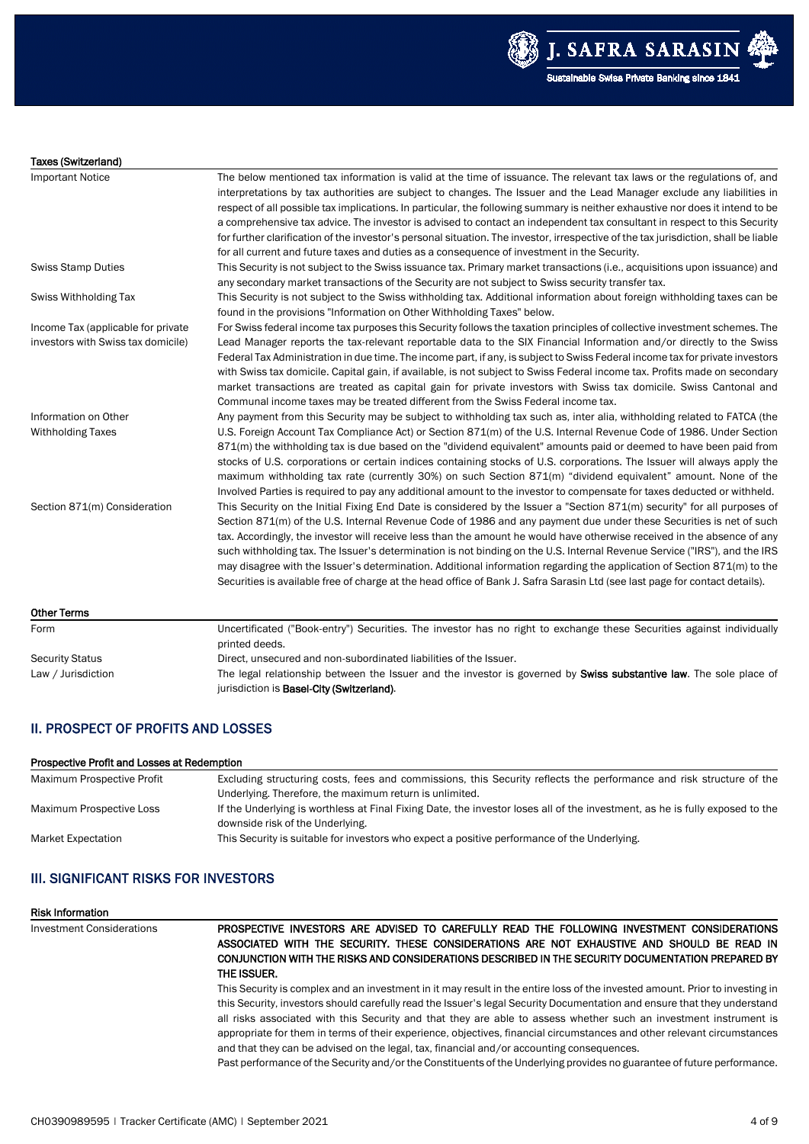



#### Taxes (Switzerland)

| <b>Important Notice</b>            | The below mentioned tax information is valid at the time of issuance. The relevant tax laws or the regulations of, and              |
|------------------------------------|-------------------------------------------------------------------------------------------------------------------------------------|
|                                    | interpretations by tax authorities are subject to changes. The Issuer and the Lead Manager exclude any liabilities in               |
|                                    | respect of all possible tax implications. In particular, the following summary is neither exhaustive nor does it intend to be       |
|                                    |                                                                                                                                     |
|                                    | a comprehensive tax advice. The investor is advised to contact an independent tax consultant in respect to this Security            |
|                                    | for further clarification of the investor's personal situation. The investor, irrespective of the tax jurisdiction, shall be liable |
|                                    | for all current and future taxes and duties as a consequence of investment in the Security.                                         |
| <b>Swiss Stamp Duties</b>          | This Security is not subject to the Swiss issuance tax. Primary market transactions (i.e., acquisitions upon issuance) and          |
|                                    | any secondary market transactions of the Security are not subject to Swiss security transfer tax.                                   |
| Swiss Withholding Tax              | This Security is not subject to the Swiss withholding tax. Additional information about foreign withholding taxes can be            |
|                                    | found in the provisions "Information on Other Withholding Taxes" below.                                                             |
| Income Tax (applicable for private | For Swiss federal income tax purposes this Security follows the taxation principles of collective investment schemes. The           |
| investors with Swiss tax domicile) | Lead Manager reports the tax-relevant reportable data to the SIX Financial Information and/or directly to the Swiss                 |
|                                    | Federal Tax Administration in due time. The income part, if any, is subject to Swiss Federal income tax for private investors       |
|                                    | with Swiss tax domicile. Capital gain, if available, is not subject to Swiss Federal income tax. Profits made on secondary          |
|                                    | market transactions are treated as capital gain for private investors with Swiss tax domicile. Swiss Cantonal and                   |
|                                    | Communal income taxes may be treated different from the Swiss Federal income tax.                                                   |
| Information on Other               | Any payment from this Security may be subject to withholding tax such as, inter alia, withholding related to FATCA (the             |
| <b>Withholding Taxes</b>           | U.S. Foreign Account Tax Compliance Act) or Section 871(m) of the U.S. Internal Revenue Code of 1986. Under Section                 |
|                                    | 871(m) the withholding tax is due based on the "dividend equivalent" amounts paid or deemed to have been paid from                  |
|                                    | stocks of U.S. corporations or certain indices containing stocks of U.S. corporations. The Issuer will always apply the             |
|                                    | maximum withholding tax rate (currently 30%) on such Section 871(m) "dividend equivalent" amount. None of the                       |
|                                    | Involved Parties is required to pay any additional amount to the investor to compensate for taxes deducted or withheld.             |
| Section 871(m) Consideration       | This Security on the Initial Fixing End Date is considered by the Issuer a "Section 871(m) security" for all purposes of            |
|                                    | Section 871(m) of the U.S. Internal Revenue Code of 1986 and any payment due under these Securities is net of such                  |
|                                    | tax. Accordingly, the investor will receive less than the amount he would have otherwise received in the absence of any             |
|                                    | such withholding tax. The Issuer's determination is not binding on the U.S. Internal Revenue Service ("IRS"), and the IRS           |
|                                    | may disagree with the Issuer's determination. Additional information regarding the application of Section 871(m) to the             |
|                                    | Securities is available free of charge at the head office of Bank J. Safra Sarasin Ltd (see last page for contact details).         |
| <b>Other Terms</b>                 |                                                                                                                                     |
| Form                               | Uncertificated ("Book-entry") Securities. The investor has no right to exchange these Securities against individually               |
|                                    | printed deeds.                                                                                                                      |
| <b>Security Status</b>             | Direct, unsecured and non-subordinated liabilities of the Issuer.                                                                   |
| Law / Jurisdiction                 | The legal relationship between the Issuer and the investor is governed by <b>Swiss substantive law</b> . The sole place of          |
|                                    | jurisdiction is Basel-City (Switzerland).                                                                                           |

## II. PROSPECT OF PROFITS AND LOSSES

#### Prospective Profit and Losses at Redemption

| Maximum Prospective Profit | Excluding structuring costs, fees and commissions, this Security reflects the performance and risk structure of the          |
|----------------------------|------------------------------------------------------------------------------------------------------------------------------|
|                            | Underlying. Therefore, the maximum return is unlimited.                                                                      |
| Maximum Prospective Loss   | If the Underlying is worthless at Final Fixing Date, the investor loses all of the investment, as he is fully exposed to the |
|                            | downside risk of the Underlying.                                                                                             |
| Market Expectation         | This Security is suitable for investors who expect a positive performance of the Underlying.                                 |
|                            |                                                                                                                              |

## III. SIGNIFICANT RISKS FOR INVESTORS

#### Risk Information

| Investment Considerations | PROSPECTIVE INVESTORS ARE ADVISED TO CAREFULLY READ THE FOLLOWING INVESTMENT CONSIDERATIONS<br>ASSOCIATED WITH THE SECURITY. THESE CONSIDERATIONS ARE NOT EXHAUSTIVE AND SHOULD BE READ IN                                                                                                                                                                                    |
|---------------------------|-------------------------------------------------------------------------------------------------------------------------------------------------------------------------------------------------------------------------------------------------------------------------------------------------------------------------------------------------------------------------------|
|                           | CONJUNCTION WITH THE RISKS AND CONSIDERATIONS DESCRIBED IN THE SECURITY DOCUMENTATION PREPARED BY<br>THE ISSUER.                                                                                                                                                                                                                                                              |
|                           | This Security is complex and an investment in it may result in the entire loss of the invested amount. Prior to investing in<br>this Security, investors should carefully read the Issuer's legal Security Documentation and ensure that they understand<br>all risks associated with this Security and that they are able to assess whether such an investment instrument is |
|                           | appropriate for them in terms of their experience, objectives, financial circumstances and other relevant circumstances<br>and that they can be advised on the legal, tax, financial and/or accounting consequences.                                                                                                                                                          |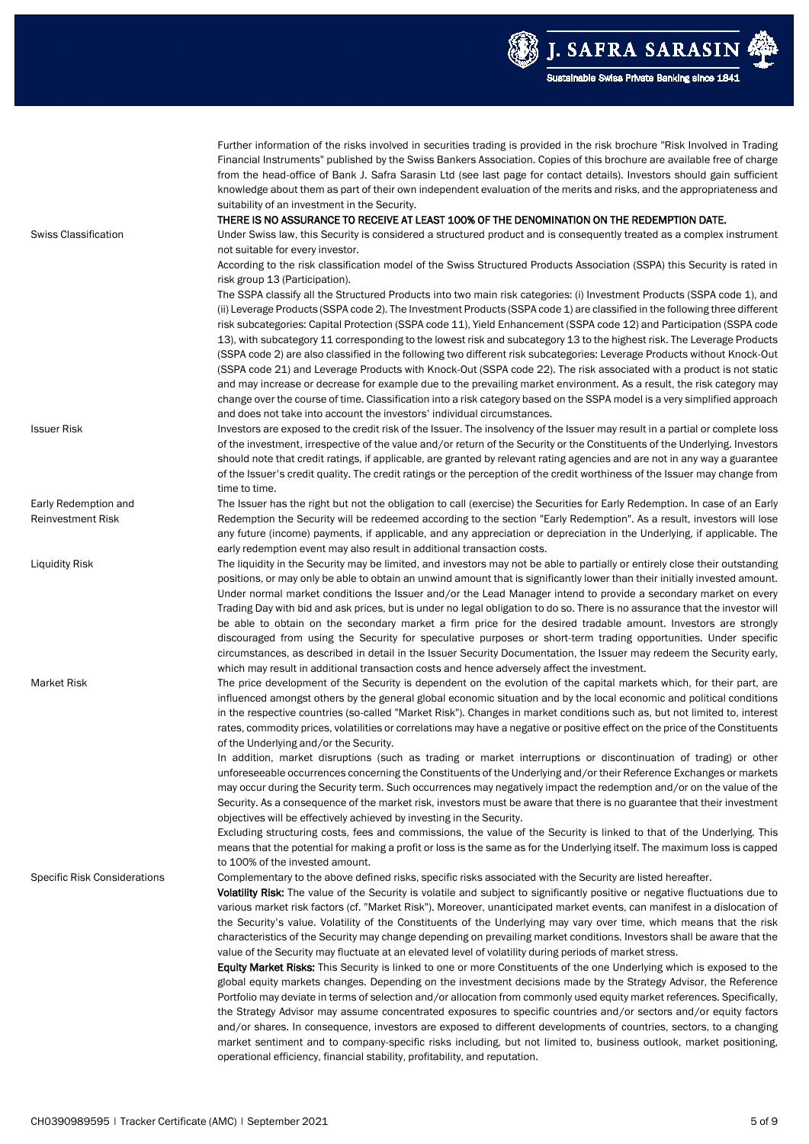

|                                                  | Further information of the risks involved in securities trading is provided in the risk brochure "Risk Involved in Trading<br>Financial Instruments" published by the Swiss Bankers Association. Copies of this brochure are available free of charge<br>from the head-office of Bank J. Safra Sarasin Ltd (see last page for contact details). Investors should gain sufficient<br>knowledge about them as part of their own independent evaluation of the merits and risks, and the appropriateness and<br>suitability of an investment in the Security.                                                                 |
|--------------------------------------------------|----------------------------------------------------------------------------------------------------------------------------------------------------------------------------------------------------------------------------------------------------------------------------------------------------------------------------------------------------------------------------------------------------------------------------------------------------------------------------------------------------------------------------------------------------------------------------------------------------------------------------|
| <b>Swiss Classification</b>                      | THERE IS NO ASSURANCE TO RECEIVE AT LEAST 100% OF THE DENOMINATION ON THE REDEMPTION DATE.<br>Under Swiss law, this Security is considered a structured product and is consequently treated as a complex instrument                                                                                                                                                                                                                                                                                                                                                                                                        |
|                                                  | not suitable for every investor.<br>According to the risk classification model of the Swiss Structured Products Association (SSPA) this Security is rated in<br>risk group 13 (Participation).                                                                                                                                                                                                                                                                                                                                                                                                                             |
|                                                  | The SSPA classify all the Structured Products into two main risk categories: (i) Investment Products (SSPA code 1), and<br>(ii) Leverage Products (SSPA code 2). The Investment Products (SSPA code 1) are classified in the following three different<br>risk subcategories: Capital Protection (SSPA code 11), Yield Enhancement (SSPA code 12) and Participation (SSPA code                                                                                                                                                                                                                                             |
|                                                  | 13), with subcategory 11 corresponding to the lowest risk and subcategory 13 to the highest risk. The Leverage Products<br>(SSPA code 2) are also classified in the following two different risk subcategories: Leverage Products without Knock-Out<br>(SSPA code 21) and Leverage Products with Knock-Out (SSPA code 22). The risk associated with a product is not static                                                                                                                                                                                                                                                |
|                                                  | and may increase or decrease for example due to the prevailing market environment. As a result, the risk category may<br>change over the course of time. Classification into a risk category based on the SSPA model is a very simplified approach<br>and does not take into account the investors' individual circumstances.                                                                                                                                                                                                                                                                                              |
| <b>Issuer Risk</b>                               | Investors are exposed to the credit risk of the Issuer. The insolvency of the Issuer may result in a partial or complete loss<br>of the investment, irrespective of the value and/or return of the Security or the Constituents of the Underlying. Investors                                                                                                                                                                                                                                                                                                                                                               |
|                                                  | should note that credit ratings, if applicable, are granted by relevant rating agencies and are not in any way a guarantee<br>of the Issuer's credit quality. The credit ratings or the perception of the credit worthiness of the Issuer may change from<br>time to time.                                                                                                                                                                                                                                                                                                                                                 |
| Early Redemption and<br><b>Reinvestment Risk</b> | The Issuer has the right but not the obligation to call (exercise) the Securities for Early Redemption. In case of an Early<br>Redemption the Security will be redeemed according to the section "Early Redemption". As a result, investors will lose                                                                                                                                                                                                                                                                                                                                                                      |
|                                                  | any future (income) payments, if applicable, and any appreciation or depreciation in the Underlying, if applicable. The<br>early redemption event may also result in additional transaction costs.                                                                                                                                                                                                                                                                                                                                                                                                                         |
| <b>Liquidity Risk</b>                            | The liquidity in the Security may be limited, and investors may not be able to partially or entirely close their outstanding<br>positions, or may only be able to obtain an unwind amount that is significantly lower than their initially invested amount.                                                                                                                                                                                                                                                                                                                                                                |
|                                                  | Under normal market conditions the Issuer and/or the Lead Manager intend to provide a secondary market on every<br>Trading Day with bid and ask prices, but is under no legal obligation to do so. There is no assurance that the investor will<br>be able to obtain on the secondary market a firm price for the desired tradable amount. Investors are strongly<br>discouraged from using the Security for speculative purposes or short-term trading opportunities. Under specific<br>circumstances, as described in detail in the Issuer Security Documentation, the Issuer may redeem the Security early,             |
| <b>Market Risk</b>                               | which may result in additional transaction costs and hence adversely affect the investment.<br>The price development of the Security is dependent on the evolution of the capital markets which, for their part, are<br>influenced amongst others by the general global economic situation and by the local economic and political conditions<br>in the respective countries (so-called "Market Risk"). Changes in market conditions such as, but not limited to, interest                                                                                                                                                 |
|                                                  | rates, commodity prices, volatilities or correlations may have a negative or positive effect on the price of the Constituents<br>of the Underlying and/or the Security.                                                                                                                                                                                                                                                                                                                                                                                                                                                    |
|                                                  | In addition, market disruptions (such as trading or market interruptions or discontinuation of trading) or other<br>unforeseeable occurrences concerning the Constituents of the Underlying and/or their Reference Exchanges or markets<br>may occur during the Security term. Such occurrences may negatively impact the redemption and/or on the value of the                                                                                                                                                                                                                                                            |
|                                                  | Security. As a consequence of the market risk, investors must be aware that there is no guarantee that their investment<br>objectives will be effectively achieved by investing in the Security.<br>Excluding structuring costs, fees and commissions, the value of the Security is linked to that of the Underlying. This                                                                                                                                                                                                                                                                                                 |
|                                                  | means that the potential for making a profit or loss is the same as for the Underlying itself. The maximum loss is capped<br>to 100% of the invested amount.                                                                                                                                                                                                                                                                                                                                                                                                                                                               |
| Specific Risk Considerations                     | Complementary to the above defined risks, specific risks associated with the Security are listed hereafter.<br>Volatility Risk: The value of the Security is volatile and subject to significantly positive or negative fluctuations due to<br>various market risk factors (cf. "Market Risk"). Moreover, unanticipated market events, can manifest in a dislocation of<br>the Security's value. Volatility of the Constituents of the Underlying may vary over time, which means that the risk<br>characteristics of the Security may change depending on prevailing market conditions. Investors shall be aware that the |
|                                                  | value of the Security may fluctuate at an elevated level of volatility during periods of market stress.<br>Equity Market Risks: This Security is linked to one or more Constituents of the one Underlying which is exposed to the<br>global equity markets changes. Depending on the investment decisions made by the Strategy Advisor, the Reference<br>Portfolio may deviate in terms of selection and/or allocation from commonly used equity market references. Specifically,<br>the Strategy Advisor may assume concentrated exposures to specific countries and/or sectors and/or equity factors                     |
|                                                  | and/or shares. In consequence, investors are exposed to different developments of countries, sectors, to a changing<br>market sentiment and to company-specific risks including, but not limited to, business outlook, market positioning,<br>operational efficiency, financial stability, profitability, and reputation.                                                                                                                                                                                                                                                                                                  |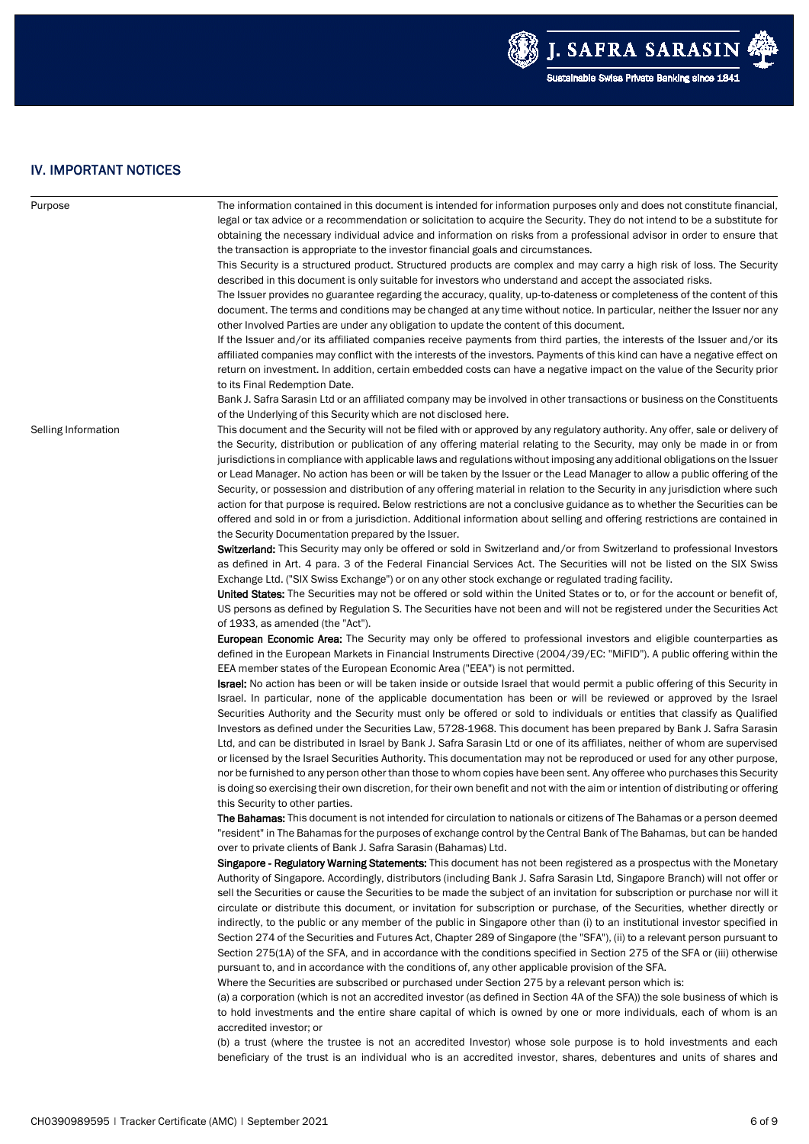

## IV. IMPORTANT NOTICES

| Purpose             | The information contained in this document is intended for information purposes only and does not constitute financial,                                                                                                                                                                                                                                                            |
|---------------------|------------------------------------------------------------------------------------------------------------------------------------------------------------------------------------------------------------------------------------------------------------------------------------------------------------------------------------------------------------------------------------|
|                     | legal or tax advice or a recommendation or solicitation to acquire the Security. They do not intend to be a substitute for                                                                                                                                                                                                                                                         |
|                     | obtaining the necessary individual advice and information on risks from a professional advisor in order to ensure that                                                                                                                                                                                                                                                             |
|                     | the transaction is appropriate to the investor financial goals and circumstances.                                                                                                                                                                                                                                                                                                  |
|                     | This Security is a structured product. Structured products are complex and may carry a high risk of loss. The Security<br>described in this document is only suitable for investors who understand and accept the associated risks.                                                                                                                                                |
|                     | The Issuer provides no guarantee regarding the accuracy, quality, up-to-dateness or completeness of the content of this<br>document. The terms and conditions may be changed at any time without notice. In particular, neither the Issuer nor any                                                                                                                                 |
|                     | other Involved Parties are under any obligation to update the content of this document.                                                                                                                                                                                                                                                                                            |
|                     | If the Issuer and/or its affiliated companies receive payments from third parties, the interests of the Issuer and/or its<br>affiliated companies may conflict with the interests of the investors. Payments of this kind can have a negative effect on<br>return on investment. In addition, certain embedded costs can have a negative impact on the value of the Security prior |
|                     | to its Final Redemption Date.                                                                                                                                                                                                                                                                                                                                                      |
|                     | Bank J. Safra Sarasin Ltd or an affiliated company may be involved in other transactions or business on the Constituents                                                                                                                                                                                                                                                           |
|                     | of the Underlying of this Security which are not disclosed here.                                                                                                                                                                                                                                                                                                                   |
| Selling Information | This document and the Security will not be filed with or approved by any regulatory authority. Any offer, sale or delivery of                                                                                                                                                                                                                                                      |
|                     | the Security, distribution or publication of any offering material relating to the Security, may only be made in or from                                                                                                                                                                                                                                                           |
|                     | jurisdictions in compliance with applicable laws and regulations without imposing any additional obligations on the Issuer                                                                                                                                                                                                                                                         |
|                     | or Lead Manager. No action has been or will be taken by the Issuer or the Lead Manager to allow a public offering of the                                                                                                                                                                                                                                                           |
|                     | Security, or possession and distribution of any offering material in relation to the Security in any jurisdiction where such                                                                                                                                                                                                                                                       |
|                     | action for that purpose is required. Below restrictions are not a conclusive guidance as to whether the Securities can be                                                                                                                                                                                                                                                          |
|                     | offered and sold in or from a jurisdiction. Additional information about selling and offering restrictions are contained in                                                                                                                                                                                                                                                        |
|                     | the Security Documentation prepared by the Issuer.                                                                                                                                                                                                                                                                                                                                 |
|                     | Switzerland: This Security may only be offered or sold in Switzerland and/or from Switzerland to professional Investors<br>as defined in Art. 4 para. 3 of the Federal Financial Services Act. The Securities will not be listed on the SIX Swiss<br>Exchange Ltd. ("SIX Swiss Exchange") or on any other stock exchange or regulated trading facility.                            |
|                     | <b>United States:</b> The Securities may not be offered or sold within the United States or to, or for the account or benefit of,                                                                                                                                                                                                                                                  |
|                     | US persons as defined by Regulation S. The Securities have not been and will not be registered under the Securities Act<br>of 1933, as amended (the "Act").                                                                                                                                                                                                                        |
|                     | <b>European Economic Area:</b> The Security may only be offered to professional investors and eligible counterparties as<br>defined in the European Markets in Financial Instruments Directive (2004/39/EC: "MiFID"). A public offering within the<br>EEA member states of the European Economic Area ("EEA") is not permitted.                                                    |
|                     | Israel: No action has been or will be taken inside or outside Israel that would permit a public offering of this Security in<br>Israel. In particular, none of the applicable documentation has been or will be reviewed or approved by the Israel                                                                                                                                 |
|                     | Securities Authority and the Security must only be offered or sold to individuals or entities that classify as Qualified                                                                                                                                                                                                                                                           |
|                     | Investors as defined under the Securities Law, 5728-1968. This document has been prepared by Bank J. Safra Sarasin                                                                                                                                                                                                                                                                 |
|                     | Ltd, and can be distributed in Israel by Bank J. Safra Sarasin Ltd or one of its affiliates, neither of whom are supervised                                                                                                                                                                                                                                                        |
|                     | or licensed by the Israel Securities Authority. This documentation may not be reproduced or used for any other purpose,                                                                                                                                                                                                                                                            |
|                     | nor be furnished to any person other than those to whom copies have been sent. Any offeree who purchases this Security<br>is doing so exercising their own discretion, for their own benefit and not with the aim or intention of distributing or offering<br>this Security to other parties.                                                                                      |
|                     | <b>The Bahamas:</b> This document is not intended for circulation to nationals or citizens of The Bahamas or a person deemed<br>"resident" in The Bahamas for the purposes of exchange control by the Central Bank of The Bahamas, but can be handed                                                                                                                               |
|                     | over to private clients of Bank J. Safra Sarasin (Bahamas) Ltd.                                                                                                                                                                                                                                                                                                                    |
|                     | Singapore - Regulatory Warning Statements: This document has not been registered as a prospectus with the Monetary<br>Authority of Singapore. Accordingly, distributors (including Bank J. Safra Sarasin Ltd, Singapore Branch) will not offer or<br>sell the Securities or cause the Securities to be made the subject of an invitation for subscription or purchase nor will it  |
|                     | circulate or distribute this document, or invitation for subscription or purchase, of the Securities, whether directly or                                                                                                                                                                                                                                                          |
|                     | indirectly, to the public or any member of the public in Singapore other than (i) to an institutional investor specified in<br>Section 274 of the Securities and Futures Act, Chapter 289 of Singapore (the "SFA"), (ii) to a relevant person pursuant to                                                                                                                          |
|                     | Section 275(1A) of the SFA, and in accordance with the conditions specified in Section 275 of the SFA or (iii) otherwise<br>pursuant to, and in accordance with the conditions of, any other applicable provision of the SFA.                                                                                                                                                      |
|                     | Where the Securities are subscribed or purchased under Section 275 by a relevant person which is:                                                                                                                                                                                                                                                                                  |
|                     | (a) a corporation (which is not an accredited investor (as defined in Section 4A of the SFA)) the sole business of which is<br>to hold investments and the entire share capital of which is owned by one or more individuals, each of whom is an<br>accredited investor; or                                                                                                        |
|                     | (b) a trust (where the trustee is not an accredited Investor) whose sole purpose is to hold investments and each<br>beneficiary of the trust is an individual who is an accredited investor, shares, debentures and units of shares and                                                                                                                                            |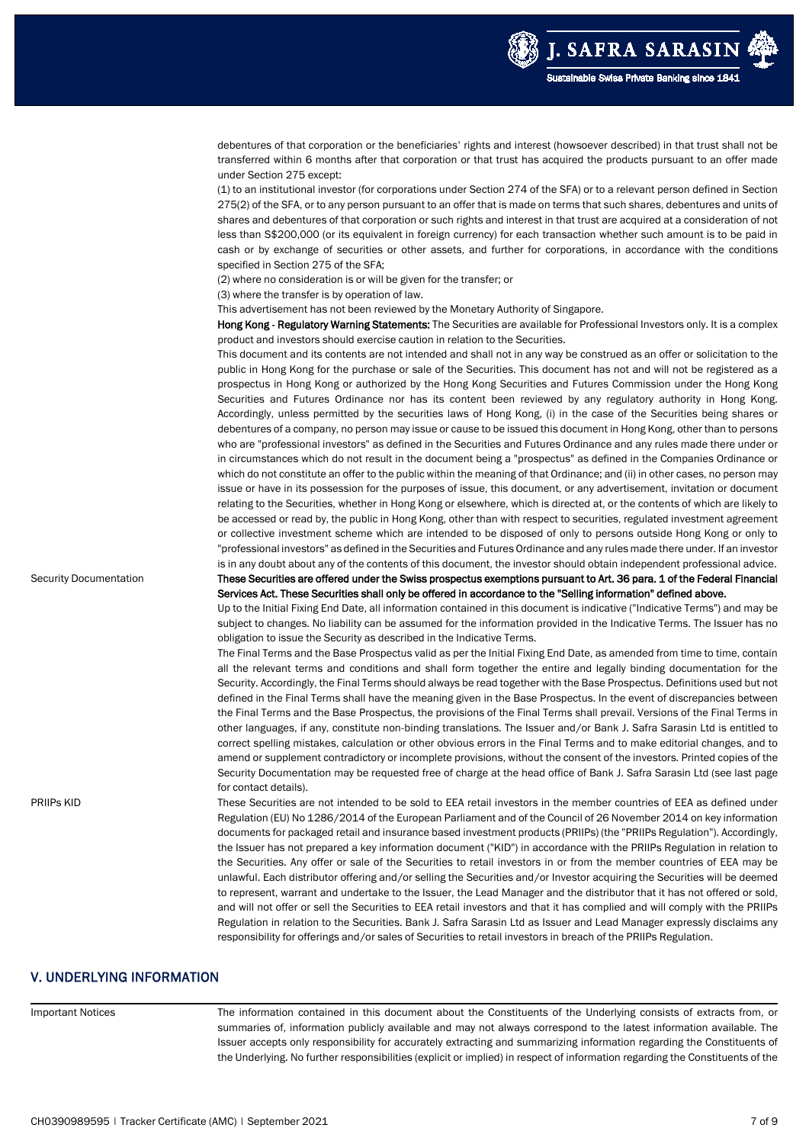

|                               | debentures of that corporation or the beneficiaries' rights and interest (howsoever described) in that trust shall not be<br>transferred within 6 months after that corporation or that trust has acquired the products pursuant to an offer made<br>under Section 275 except:                                                                                                                                                                                                                                                                                                                                                                                                                                                    |
|-------------------------------|-----------------------------------------------------------------------------------------------------------------------------------------------------------------------------------------------------------------------------------------------------------------------------------------------------------------------------------------------------------------------------------------------------------------------------------------------------------------------------------------------------------------------------------------------------------------------------------------------------------------------------------------------------------------------------------------------------------------------------------|
|                               | (1) to an institutional investor (for corporations under Section 274 of the SFA) or to a relevant person defined in Section<br>275(2) of the SFA, or to any person pursuant to an offer that is made on terms that such shares, debentures and units of<br>shares and debentures of that corporation or such rights and interest in that trust are acquired at a consideration of not<br>less than S\$200,000 (or its equivalent in foreign currency) for each transaction whether such amount is to be paid in<br>cash or by exchange of securities or other assets, and further for corporations, in accordance with the conditions<br>specified in Section 275 of the SFA;                                                     |
|                               | (2) where no consideration is or will be given for the transfer; or                                                                                                                                                                                                                                                                                                                                                                                                                                                                                                                                                                                                                                                               |
|                               | (3) where the transfer is by operation of law.                                                                                                                                                                                                                                                                                                                                                                                                                                                                                                                                                                                                                                                                                    |
|                               | This advertisement has not been reviewed by the Monetary Authority of Singapore.                                                                                                                                                                                                                                                                                                                                                                                                                                                                                                                                                                                                                                                  |
|                               | Hong Kong - Regulatory Warning Statements: The Securities are available for Professional Investors only. It is a complex<br>product and investors should exercise caution in relation to the Securities.                                                                                                                                                                                                                                                                                                                                                                                                                                                                                                                          |
|                               | This document and its contents are not intended and shall not in any way be construed as an offer or solicitation to the<br>public in Hong Kong for the purchase or sale of the Securities. This document has not and will not be registered as a<br>prospectus in Hong Kong or authorized by the Hong Kong Securities and Futures Commission under the Hong Kong<br>Securities and Futures Ordinance nor has its content been reviewed by any regulatory authority in Hong Kong.<br>Accordingly, unless permitted by the securities laws of Hong Kong, (i) in the case of the Securities being shares or<br>debentures of a company, no person may issue or cause to be issued this document in Hong Kong, other than to persons |
|                               | who are "professional investors" as defined in the Securities and Futures Ordinance and any rules made there under or<br>in circumstances which do not result in the document being a "prospectus" as defined in the Companies Ordinance or<br>which do not constitute an offer to the public within the meaning of that Ordinance; and (ii) in other cases, no person may                                                                                                                                                                                                                                                                                                                                                        |
|                               | issue or have in its possession for the purposes of issue, this document, or any advertisement, invitation or document<br>relating to the Securities, whether in Hong Kong or elsewhere, which is directed at, or the contents of which are likely to<br>be accessed or read by, the public in Hong Kong, other than with respect to securities, regulated investment agreement<br>or collective investment scheme which are intended to be disposed of only to persons outside Hong Kong or only to<br>"professional investors" as defined in the Securities and Futures Ordinance and any rules made there under. If an investor                                                                                                |
|                               | is in any doubt about any of the contents of this document, the investor should obtain independent professional advice.                                                                                                                                                                                                                                                                                                                                                                                                                                                                                                                                                                                                           |
| <b>Security Documentation</b> | These Securities are offered under the Swiss prospectus exemptions pursuant to Art. 36 para. 1 of the Federal Financial                                                                                                                                                                                                                                                                                                                                                                                                                                                                                                                                                                                                           |
|                               | Services Act. These Securities shall only be offered in accordance to the "Selling information" defined above.                                                                                                                                                                                                                                                                                                                                                                                                                                                                                                                                                                                                                    |
|                               | Up to the Initial Fixing End Date, all information contained in this document is indicative ("Indicative Terms") and may be<br>subject to changes. No liability can be assumed for the information provided in the Indicative Terms. The Issuer has no<br>obligation to issue the Security as described in the Indicative Terms.                                                                                                                                                                                                                                                                                                                                                                                                  |
|                               | The Final Terms and the Base Prospectus valid as per the Initial Fixing End Date, as amended from time to time, contain<br>all the relevant terms and conditions and shall form together the entire and legally binding documentation for the                                                                                                                                                                                                                                                                                                                                                                                                                                                                                     |
|                               | Security. Accordingly, the Final Terms should always be read together with the Base Prospectus. Definitions used but not<br>defined in the Final Terms shall have the meaning given in the Base Prospectus. In the event of discrepancies between<br>the Final Terms and the Base Prospectus, the provisions of the Final Terms shall prevail. Versions of the Final Terms in<br>other languages, if any, constitute non-binding translations. The Issuer and/or Bank J. Safra Sarasin Ltd is entitled to<br>correct spelling mistakes, calculation or other obvious errors in the Final Terms and to make editorial changes, and to                                                                                              |
|                               | amend or supplement contradictory or incomplete provisions, without the consent of the investors. Printed copies of the<br>Security Documentation may be requested free of charge at the head office of Bank J. Safra Sarasin Ltd (see last page                                                                                                                                                                                                                                                                                                                                                                                                                                                                                  |
| PRIIPs KID                    | for contact details).<br>These Securities are not intended to be sold to EEA retail investors in the member countries of EEA as defined under<br>Regulation (EU) No 1286/2014 of the European Parliament and of the Council of 26 November 2014 on key information                                                                                                                                                                                                                                                                                                                                                                                                                                                                |
|                               | documents for packaged retail and insurance based investment products (PRIIPs) (the "PRIIPs Regulation"). Accordingly,<br>the Issuer has not prepared a key information document ("KID") in accordance with the PRIIPs Regulation in relation to<br>the Securities. Any offer or sale of the Securities to retail investors in or from the member countries of EEA may be<br>unlawful. Each distributor offering and/or selling the Securities and/or Investor acquiring the Securities will be deemed<br>to represent, warrant and undertake to the Issuer, the Lead Manager and the distributor that it has not offered or sold,                                                                                                |
|                               | and will not offer or sell the Securities to EEA retail investors and that it has complied and will comply with the PRIIPs<br>Regulation in relation to the Securities. Bank J. Safra Sarasin Ltd as Issuer and Lead Manager expressly disclaims any<br>responsibility for offerings and/or sales of Securities to retail investors in breach of the PRIIPs Regulation.                                                                                                                                                                                                                                                                                                                                                           |

## V. UNDERLYING INFORMATION

Important Notices The information contained in this document about the Constituents of the Underlying consists of extracts from, or summaries of, information publicly available and may not always correspond to the latest information available. The Issuer accepts only responsibility for accurately extracting and summarizing information regarding the Constituents of the Underlying. No further responsibilities (explicit or implied) in respect of information regarding the Constituents of the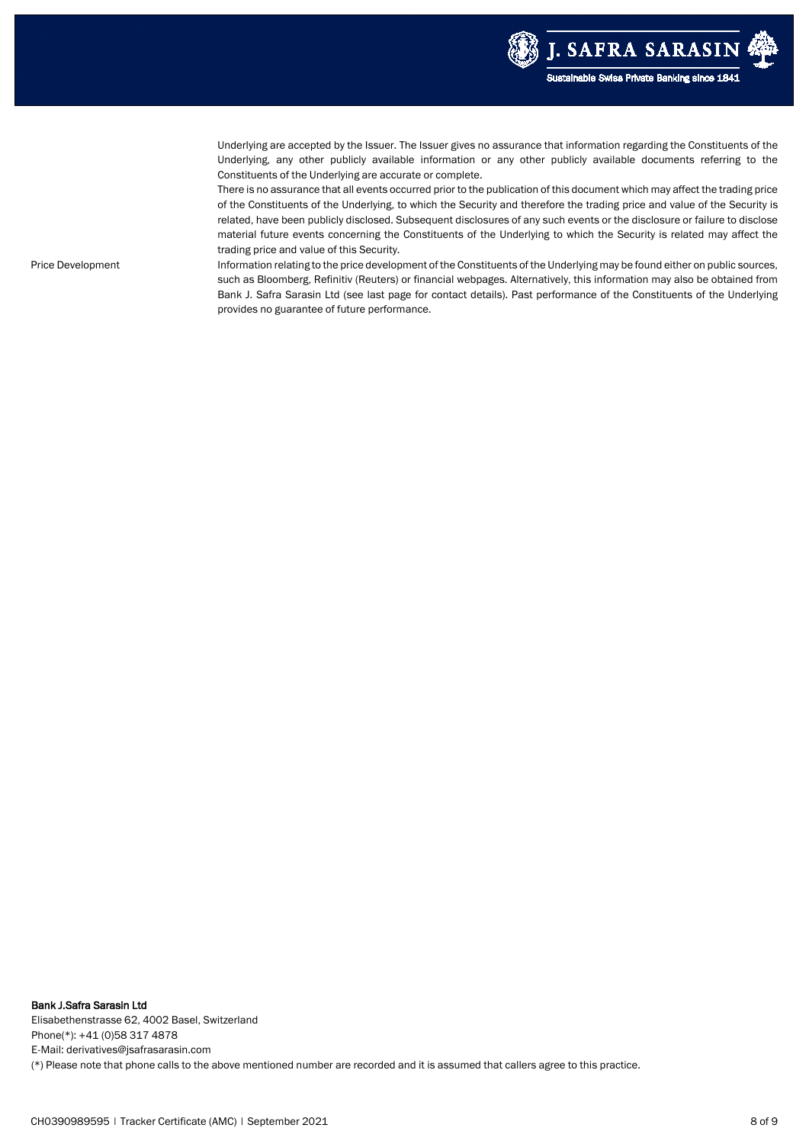

Underlying are accepted by the Issuer. The Issuer gives no assurance that information regarding the Constituents of the Underlying, any other publicly available information or any other publicly available documents referring to the Constituents of the Underlying are accurate or complete.

There is no assurance that all events occurred prior to the publication of this document which may affect the trading price of the Constituents of the Underlying, to which the Security and therefore the trading price and value of the Security is related, have been publicly disclosed. Subsequent disclosures of any such events or the disclosure or failure to disclose material future events concerning the Constituents of the Underlying to which the Security is related may affect the trading price and value of this Security.

Price Development **Information relating to the price development of the Constituents of the Underlying may be found either on public sources,** such as Bloomberg, Refinitiv (Reuters) or financial webpages. Alternatively, this information may also be obtained from Bank J. Safra Sarasin Ltd (see last page for contact details). Past performance of the Constituents of the Underlying provides no guarantee of future performance.

Bank J.Safra Sarasin Ltd Elisabethenstrasse 62, 4002 Basel, Switzerland Phone(\*): +41 (0)58 317 4878 E-Mail: derivatives@jsafrasarasin.com (\*) Please note that phone calls to the above mentioned number are recorded and it is assumed that callers agree to this practice.